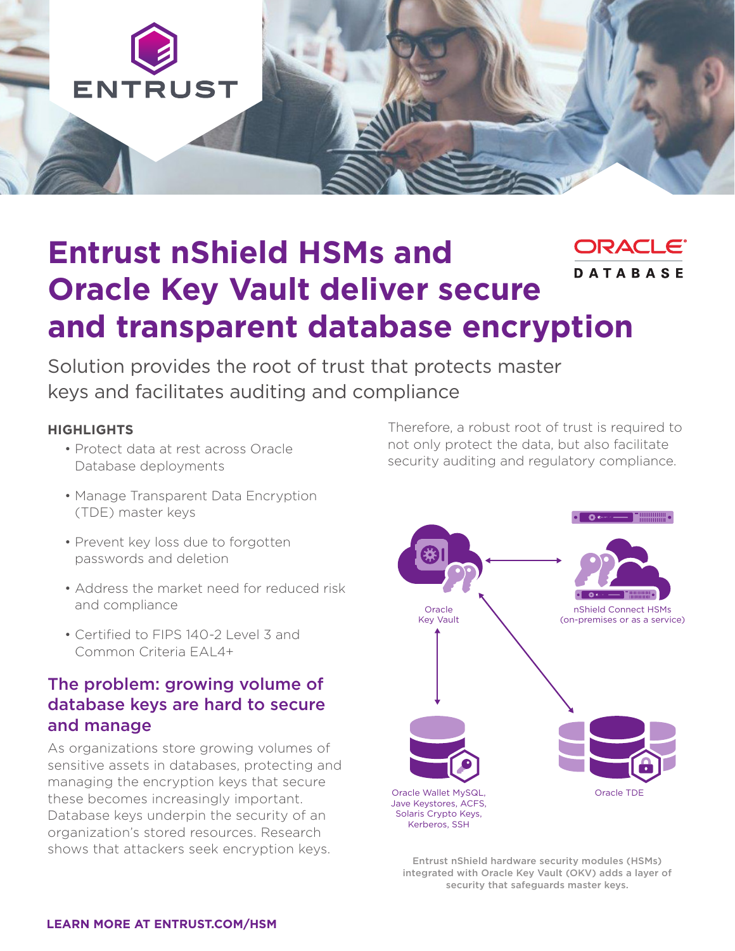

# **Entrust nShield HSMs and**  DRAC **DATABASE Oracle Key Vault deliver secure and transparent database encryption**

Solution provides the root of trust that protects master keys and facilitates auditing and compliance

#### **HIGHLIGHTS**

- Protect data at rest across Oracle Database deployments
- Manage Transparent Data Encryption (TDE) master keys
- Prevent key loss due to forgotten passwords and deletion
- Address the market need for reduced risk and compliance
- Certified to FIPS 140-2 Level 3 and Common Criteria EAL4+

## The problem: growing volume of database keys are hard to secure and manage

As organizations store growing volumes of sensitive assets in databases, protecting and managing the encryption keys that secure these becomes increasingly important. Database keys underpin the security of an organization's stored resources. Research shows that attackers seek encryption keys.

Therefore, a robust root of trust is required to not only protect the data, but also facilitate security auditing and regulatory compliance.



Entrust nShield hardware security modules (HSMs) integrated with Oracle Key Vault (OKV) adds a layer of security that safeguards master keys.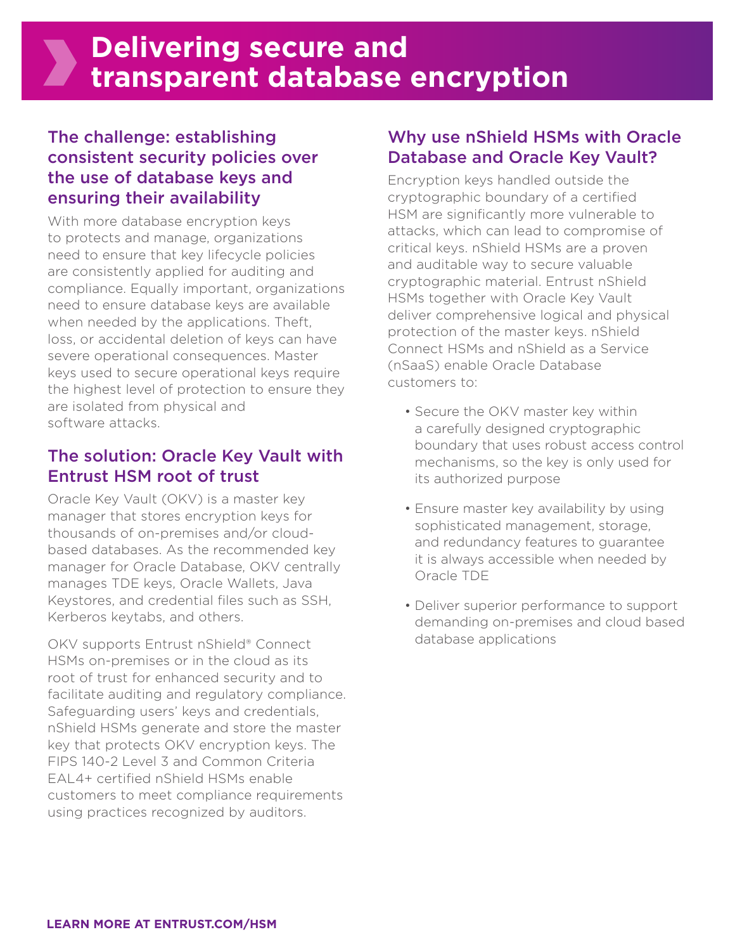# The challenge: establishing consistent security policies over the use of database keys and ensuring their availability

With more database encryption keys to protects and manage, organizations need to ensure that key lifecycle policies are consistently applied for auditing and compliance. Equally important, organizations need to ensure database keys are available when needed by the applications. Theft, loss, or accidental deletion of keys can have severe operational consequences. Master keys used to secure operational keys require the highest level of protection to ensure they are isolated from physical and software attacks.

## The solution: Oracle Key Vault with Entrust HSM root of trust

Oracle Key Vault (OKV) is a master key manager that stores encryption keys for thousands of on-premises and/or cloudbased databases. As the recommended key manager for Oracle Database, OKV centrally manages TDE keys, Oracle Wallets, Java Keystores, and credential files such as SSH, Kerberos keytabs, and others.

OKV supports Entrust nShield® Connect HSMs on-premises or in the cloud as its root of trust for enhanced security and to facilitate auditing and regulatory compliance. Safeguarding users' keys and credentials, nShield HSMs generate and store the master key that protects OKV encryption keys. The FIPS 140-2 Level 3 and Common Criteria EAL4+ certified nShield HSMs enable customers to meet compliance requirements using practices recognized by auditors.

# Why use nShield HSMs with Oracle Database and Oracle Key Vault?

Encryption keys handled outside the cryptographic boundary of a certified HSM are significantly more vulnerable to attacks, which can lead to compromise of critical keys. nShield HSMs are a proven and auditable way to secure valuable cryptographic material. Entrust nShield HSMs together with Oracle Key Vault deliver comprehensive logical and physical protection of the master keys. nShield Connect HSMs and nShield as a Service (nSaaS) enable Oracle Database customers to:

- Secure the OKV master key within a carefully designed cryptographic boundary that uses robust access control mechanisms, so the key is only used for its authorized purpose
- Ensure master key availability by using sophisticated management, storage, and redundancy features to guarantee it is always accessible when needed by Oracle TDE
- Deliver superior performance to support demanding on-premises and cloud based database applications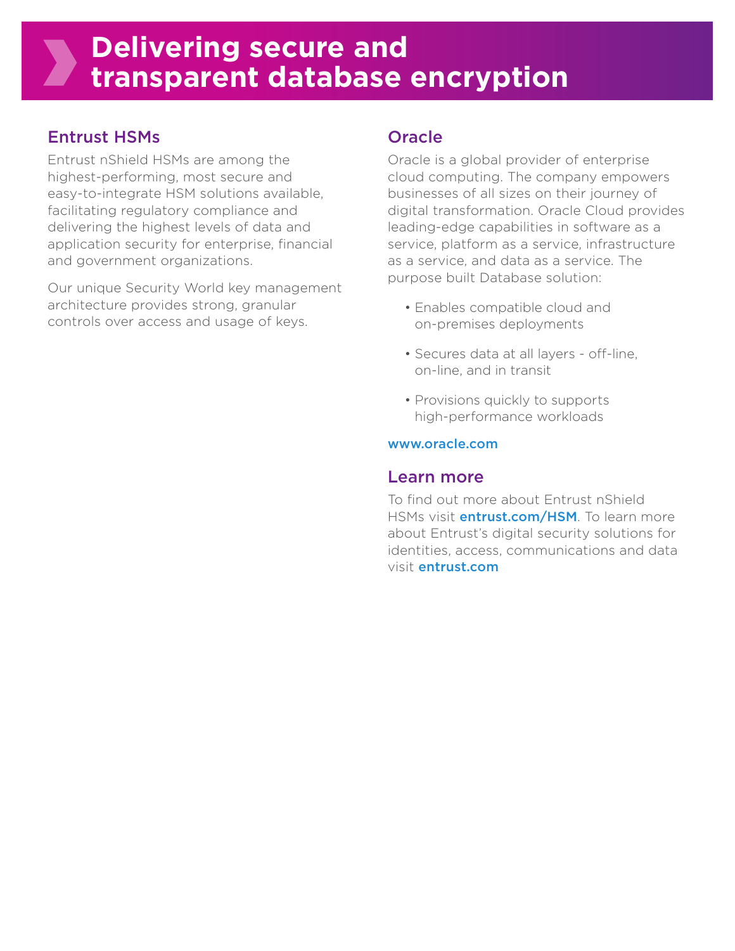# Entrust HSMs

Entrust nShield HSMs are among the highest-performing, most secure and easy-to-integrate HSM solutions available, facilitating regulatory compliance and delivering the highest levels of data and application security for enterprise, financial and government organizations.

Our unique Security World key management architecture provides strong, granular controls over access and usage of keys.

## **Oracle**

Oracle is a global provider of enterprise cloud computing. The company empowers businesses of all sizes on their journey of digital transformation. Oracle Cloud provides leading-edge capabilities in software as a service, platform as a service, infrastructure as a service, and data as a service. The purpose built Database solution:

- Enables compatible cloud and on-premises deployments
- Secures data at all layers off-line, on-line, and in transit
- Provisions quickly to supports high-performance workloads

#### www.oracle.com

### Learn more

To find out more about Entrust nShield HSMs visit **entrust.com/HSM**. To learn more about Entrust's digital security solutions for identities, access, communications and data visit entrust.com